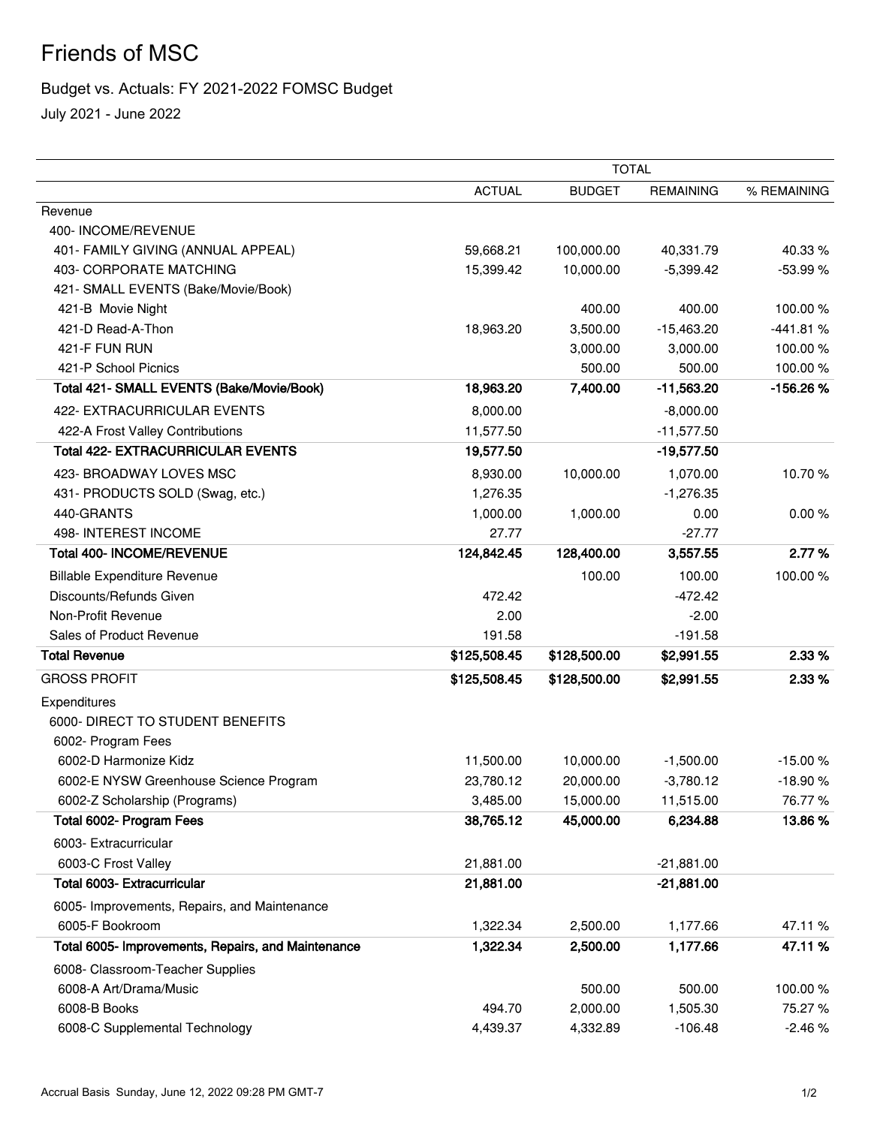## Friends of MSC

## Budget vs. Actuals: FY 2021-2022 FOMSC Budget

July 2021 - June 2022

|                                                    |               | <b>TOTAL</b>  |                  |             |  |
|----------------------------------------------------|---------------|---------------|------------------|-------------|--|
|                                                    | <b>ACTUAL</b> | <b>BUDGET</b> | <b>REMAINING</b> | % REMAINING |  |
| Revenue                                            |               |               |                  |             |  |
| 400-INCOME/REVENUE                                 |               |               |                  |             |  |
| 401- FAMILY GIVING (ANNUAL APPEAL)                 | 59,668.21     | 100,000.00    | 40,331.79        | 40.33%      |  |
| 403- CORPORATE MATCHING                            | 15,399.42     | 10,000.00     | $-5,399.42$      | -53.99 %    |  |
| 421- SMALL EVENTS (Bake/Movie/Book)                |               |               |                  |             |  |
| 421-B Movie Night                                  |               | 400.00        | 400.00           | 100.00%     |  |
| 421-D Read-A-Thon                                  | 18,963.20     | 3,500.00      | $-15,463.20$     | $-441.81%$  |  |
| 421-F FUN RUN                                      |               | 3,000.00      | 3,000.00         | 100.00%     |  |
| 421-P School Picnics                               |               | 500.00        | 500.00           | 100.00%     |  |
| Total 421- SMALL EVENTS (Bake/Movie/Book)          | 18,963.20     | 7,400.00      | $-11,563.20$     | -156.26%    |  |
| 422- EXTRACURRICULAR EVENTS                        | 8,000.00      |               | $-8,000.00$      |             |  |
| 422-A Frost Valley Contributions                   | 11,577.50     |               | $-11,577.50$     |             |  |
| <b>Total 422- EXTRACURRICULAR EVENTS</b>           | 19,577.50     |               | $-19,577.50$     |             |  |
| 423- BROADWAY LOVES MSC                            | 8,930.00      | 10,000.00     | 1,070.00         | 10.70%      |  |
| 431- PRODUCTS SOLD (Swag, etc.)                    | 1,276.35      |               | $-1,276.35$      |             |  |
| 440-GRANTS                                         | 1,000.00      | 1,000.00      | 0.00             | 0.00%       |  |
| 498- INTEREST INCOME                               | 27.77         |               | $-27.77$         |             |  |
| Total 400- INCOME/REVENUE                          | 124,842.45    | 128,400.00    | 3,557.55         | 2.77%       |  |
| <b>Billable Expenditure Revenue</b>                |               | 100.00        | 100.00           | 100.00%     |  |
| Discounts/Refunds Given                            | 472.42        |               | $-472.42$        |             |  |
| Non-Profit Revenue                                 | 2.00          |               | $-2.00$          |             |  |
| Sales of Product Revenue                           | 191.58        |               | $-191.58$        |             |  |
| <b>Total Revenue</b>                               | \$125,508.45  | \$128,500.00  | \$2,991.55       | 2.33 %      |  |
| <b>GROSS PROFIT</b>                                | \$125,508.45  | \$128,500.00  | \$2,991.55       | 2.33%       |  |
| Expenditures                                       |               |               |                  |             |  |
| 6000- DIRECT TO STUDENT BENEFITS                   |               |               |                  |             |  |
| 6002- Program Fees                                 |               |               |                  |             |  |
| 6002-D Harmonize Kidz                              | 11,500.00     | 10,000.00     | $-1,500.00$      | $-15.00%$   |  |
| 6002-E NYSW Greenhouse Science Program             | 23,780.12     | 20,000.00     | $-3,780.12$      | $-18.90%$   |  |
| 6002-Z Scholarship (Programs)                      | 3,485.00      | 15,000.00     | 11,515.00        | 76.77%      |  |
| Total 6002- Program Fees                           | 38,765.12     | 45,000.00     | 6,234.88         | 13.86%      |  |
| 6003- Extracurricular                              |               |               |                  |             |  |
| 6003-C Frost Valley                                | 21,881.00     |               | $-21,881.00$     |             |  |
| Total 6003- Extracurricular                        | 21,881.00     |               | $-21,881.00$     |             |  |
| 6005- Improvements, Repairs, and Maintenance       |               |               |                  |             |  |
| 6005-F Bookroom                                    | 1,322.34      | 2,500.00      | 1,177.66         | 47.11%      |  |
| Total 6005- Improvements, Repairs, and Maintenance | 1,322.34      | 2,500.00      | 1,177.66         | 47.11%      |  |
| 6008- Classroom-Teacher Supplies                   |               |               |                  |             |  |
| 6008-A Art/Drama/Music                             |               | 500.00        | 500.00           | 100.00%     |  |
| 6008-B Books                                       | 494.70        | 2,000.00      | 1,505.30         | 75.27 %     |  |
| 6008-C Supplemental Technology                     | 4,439.37      | 4,332.89      | $-106.48$        | $-2.46%$    |  |